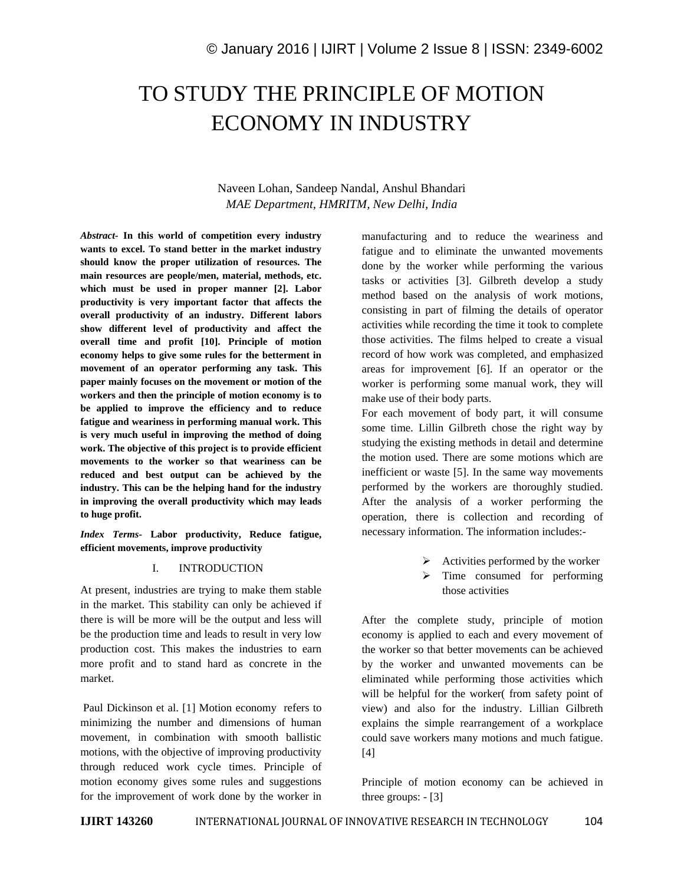# TO STUDY THE PRINCIPLE OF MOTION ECONOMY IN INDUSTRY

### Naveen Lohan, Sandeep Nandal, Anshul Bhandari *MAE Department, HMRITM, New Delhi, India*

*Abstract-* **In this world of competition every industry wants to excel. To stand better in the market industry should know the proper utilization of resources. The main resources are people/men, material, methods, etc. which must be used in proper manner [2]. Labor productivity is very important factor that affects the overall productivity of an industry. Different labors show different level of productivity and affect the overall time and profit [10]. Principle of motion economy helps to give some rules for the betterment in movement of an operator performing any task. This paper mainly focuses on the movement or motion of the workers and then the principle of motion economy is to be applied to improve the efficiency and to reduce fatigue and weariness in performing manual work. This is very much useful in improving the method of doing work. The objective of this project is to provide efficient movements to the worker so that weariness can be reduced and best output can be achieved by the industry. This can be the helping hand for the industry in improving the overall productivity which may leads to huge profit.** 

*Index Terms-* **Labor productivity, Reduce fatigue, efficient movements, improve productivity**

### I. INTRODUCTION

At present, industries are trying to make them stable in the market. This stability can only be achieved if there is will be more will be the output and less will be the production time and leads to result in very low production cost. This makes the industries to earn more profit and to stand hard as concrete in the market.

Paul Dickinson et al. [1] Motion economy refers to minimizing the number and dimensions of human movement, in combination with smooth ballistic motions, with the objective of improving productivity through reduced work cycle times. Principle of motion economy gives some rules and suggestions for the improvement of work done by the worker in manufacturing and to reduce the weariness and fatigue and to eliminate the unwanted movements done by the worker while performing the various tasks or activities [3]. Gilbreth develop a study method based on the analysis of work motions, consisting in part of filming the details of operator activities while recording the time it took to complete those activities. The films helped to create a visual record of how work was completed, and emphasized areas for improvement [6]. If an operator or the worker is performing some manual work, they will make use of their body parts.

For each movement of body part, it will consume some time. Lillin Gilbreth chose the right way by studying the existing methods in detail and determine the motion used. There are some motions which are inefficient or waste [5]. In the same way movements performed by the workers are thoroughly studied. After the analysis of a worker performing the operation, there is collection and recording of necessary information. The information includes:-

- $\triangleright$  Activities performed by the worker
- $\triangleright$  Time consumed for performing those activities

After the complete study, principle of motion economy is applied to each and every movement of the worker so that better movements can be achieved by the worker and unwanted movements can be eliminated while performing those activities which will be helpful for the worker( from safety point of view) and also for the industry. Lillian Gilbreth explains the simple rearrangement of a workplace could save workers many motions and much fatigue. [4]

Principle of motion economy can be achieved in three groups: - [3]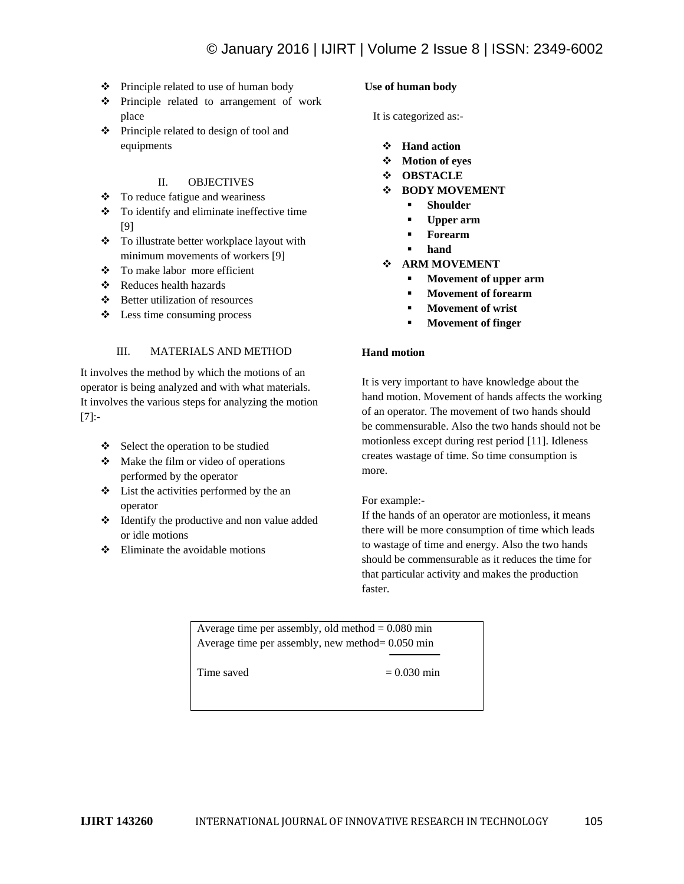- Principle related to use of human body
- Principle related to arrangement of work place
- Principle related to design of tool and equipments

### II. OBJECTIVES

- To reduce fatigue and weariness
- To identify and eliminate ineffective time [9]
- \* To illustrate better workplace layout with minimum movements of workers [9]
- To make labor more efficient
- Reduces health hazards
- Better utilization of resources
- $\triangleleft$  Less time consuming process

### III. MATERIALS AND METHOD

It involves the method by which the motions of an operator is being analyzed and with what materials. It involves the various steps for analyzing the motion [7]:-

- $\div$  Select the operation to be studied
- $\bullet$  Make the film or video of operations performed by the operator
- List the activities performed by the an operator
- Identify the productive and non value added or idle motions
- $\bullet$  Eliminate the avoidable motions

### **Use of human body**

It is categorized as:-

- **Hand action**
- **Motion of eyes**
- **OBSTACLE**
- **BODY MOVEMENT**
	- **Shoulder**
	- **Upper arm**
	- **Forearm**
	- **hand**
- **ARM MOVEMENT**
	- **Movement of upper arm**
	- **Movement of forearm**
	- **Movement of wrist**
	- **Movement of finger**

### **Hand motion**

It is very important to have knowledge about the hand motion. Movement of hands affects the working of an operator. The movement of two hands should be commensurable. Also the two hands should not be motionless except during rest period [11]. Idleness creates wastage of time. So time consumption is more.

For example:-

If the hands of an operator are motionless, it means there will be more consumption of time which leads to wastage of time and energy. Also the two hands should be commensurable as it reduces the time for that particular activity and makes the production faster.

Average time per assembly, old method  $= 0.080$  min Average time per assembly, new method= 0.050 min

Time saved  $= 0.030$  min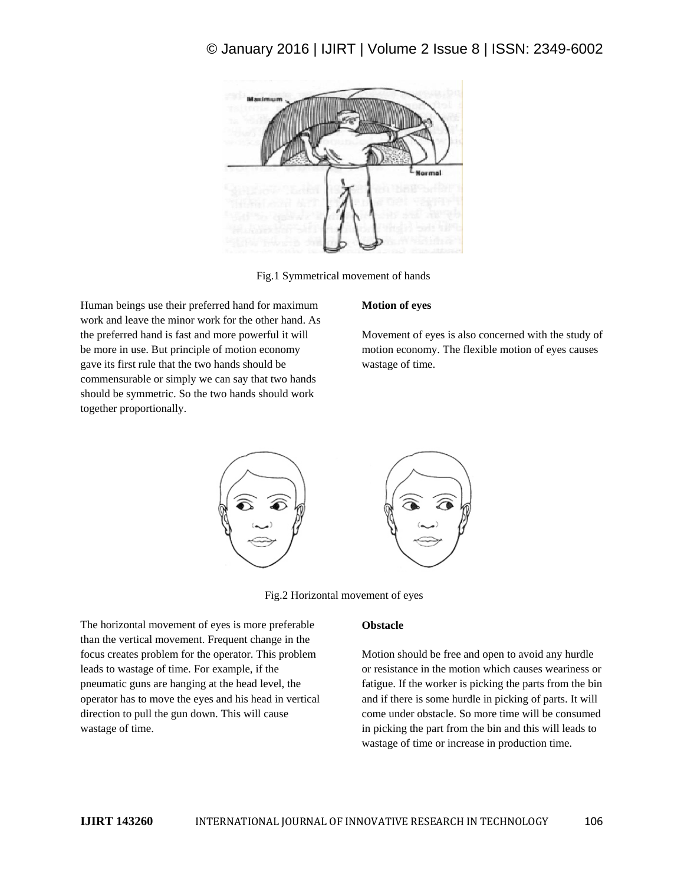

Fig.1 Symmetrical movement of hands

Human beings use their preferred hand for maximum work and leave the minor work for the other hand. As the preferred hand is fast and more powerful it will be more in use. But principle of motion economy gave its first rule that the two hands should be commensurable or simply we can say that two hands should be symmetric. So the two hands should work together proportionally.

### **Motion of eyes**

Movement of eyes is also concerned with the study of motion economy. The flexible motion of eyes causes wastage of time.



Fig.2 Horizontal movement of eyes

The horizontal movement of eyes is more preferable than the vertical movement. Frequent change in the focus creates problem for the operator. This problem leads to wastage of time. For example, if the pneumatic guns are hanging at the head level, the operator has to move the eyes and his head in vertical direction to pull the gun down. This will cause wastage of time.

### **Obstacle**

Motion should be free and open to avoid any hurdle or resistance in the motion which causes weariness or fatigue. If the worker is picking the parts from the bin and if there is some hurdle in picking of parts. It will come under obstacle. So more time will be consumed in picking the part from the bin and this will leads to wastage of time or increase in production time.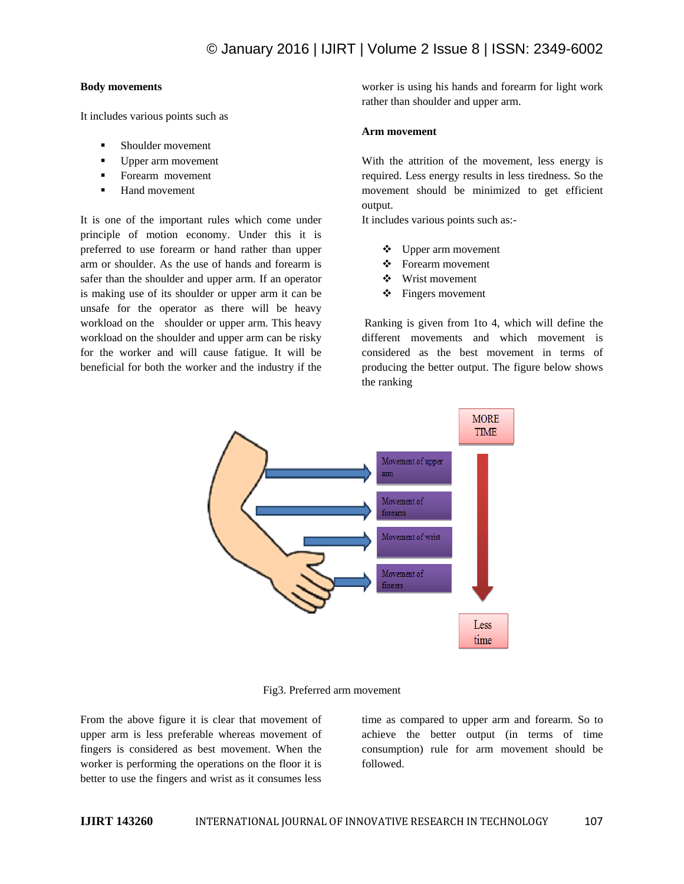### **Body movements**

It includes various points such as

- Shoulder movement
- Upper arm movement
- **Forearm movement**
- **Hand movement**

It is one of the important rules which come under principle of motion economy. Under this it is preferred to use forearm or hand rather than upper arm or shoulder. As the use of hands and forearm is safer than the shoulder and upper arm. If an operator is making use of its shoulder or upper arm it can be unsafe for the operator as there will be heavy workload on the shoulder or upper arm. This heavy workload on the shoulder and upper arm can be risky for the worker and will cause fatigue. It will be beneficial for both the worker and the industry if the worker is using his hands and forearm for light work rather than shoulder and upper arm.

### **Arm movement**

With the attrition of the movement, less energy is required. Less energy results in less tiredness. So the movement should be minimized to get efficient output.

It includes various points such as:-

- Upper arm movement
- Forearm movement
- ❖ Wrist movement
- **❖** Fingers movement

Ranking is given from 1to 4, which will define the different movements and which movement is considered as the best movement in terms of producing the better output. The figure below shows the ranking



Fig3. Preferred arm movement

From the above figure it is clear that movement of upper arm is less preferable whereas movement of fingers is considered as best movement. When the worker is performing the operations on the floor it is better to use the fingers and wrist as it consumes less

time as compared to upper arm and forearm. So to achieve the better output (in terms of time consumption) rule for arm movement should be followed.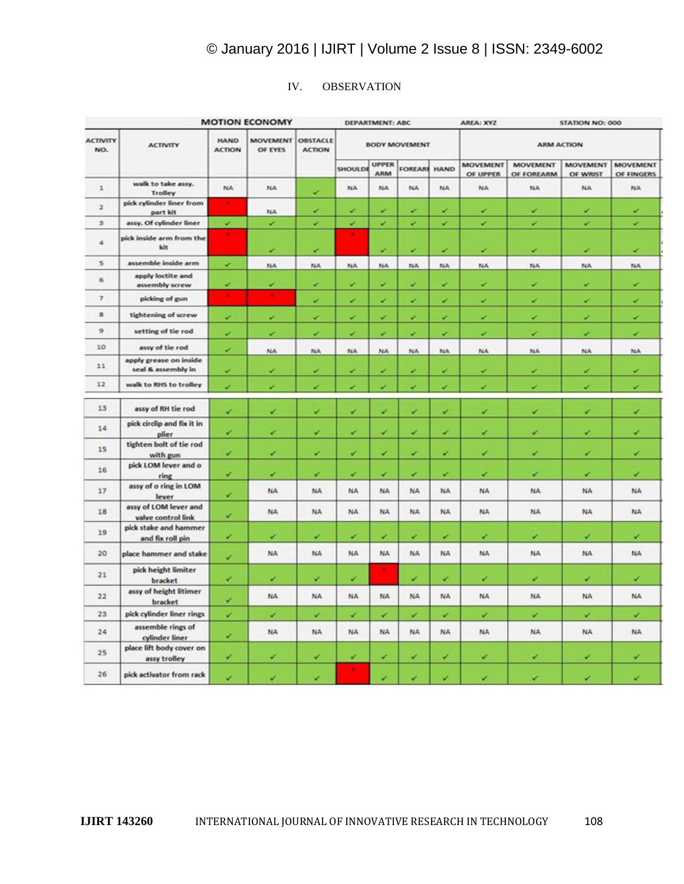### IV. OBSERVATION

| <b>MOTION ECONOMY</b>    |                                              |                              |                            | <b>DEPARTMENT: ABC</b>           |                      |                     |              | AREA: XYZ |                             | <b>STATION NO: 000</b>        |                             |                               |
|--------------------------|----------------------------------------------|------------------------------|----------------------------|----------------------------------|----------------------|---------------------|--------------|-----------|-----------------------------|-------------------------------|-----------------------------|-------------------------------|
| <b>ACTIVITY</b><br>NO.   | <b>ACTIVITY</b>                              | <b>HAND</b><br><b>ACTION</b> | <b>MOVEMENT</b><br>OF EYES | <b>OBSTACLE</b><br><b>ACTION</b> | <b>BODY MOVEMENT</b> |                     |              |           | <b>ARM ACTION</b>           |                               |                             |                               |
|                          |                                              |                              |                            |                                  | SHOULDE              | <b>UPPER</b><br>ARM | FOREARI HAND |           | <b>MOVEMENT</b><br>OF UPPER | <b>MOVEMENT</b><br>OF FOREARM | <b>MOVEMENT</b><br>OF WRIST | <b>MOVEMENT</b><br>OF FINGERS |
| $\mathbf{1}$             | walk to take assy.<br><b>Trolley</b>         | NA.                          | NA                         | v                                | NA.                  | NA.                 | NA.          | NA.       | <b>NA</b>                   | NA                            | NA                          | NA                            |
| $\overline{z}$           | pick cylinder liner from<br>part kit         |                              | NA                         | v                                | v                    | v                   | v            | v         | v                           | ×                             | v                           | v                             |
| $\mathbf{3}$             | assy. Of cylinder liner                      | ÷                            | v                          | ۰                                | ٠                    | v                   | v            | ✓         | v                           | ٠                             | ٠                           | ×                             |
| 4                        | pick inside arm from the<br>kit              | ۰                            | v                          | v                                |                      | v                   | v            | ۷         | v                           | ×                             | v                           | ×                             |
| 5                        | assemble inside arm                          | v                            | <b>NA</b>                  | <b>NA</b>                        | <b>NA</b>            | NA                  | NA           | <b>NA</b> | NA                          | NA                            | <b>NA</b>                   | NA                            |
| 6                        | apply loctite and<br>assembly screw          | ے                            | ✓                          | ×                                | v                    | v                   | v            | ٠         | v                           | v                             | v                           | v                             |
| $\overline{\phantom{a}}$ | picking of gun                               |                              |                            | v                                | v                    | V,                  | v            | ✓         | v                           | v                             | v                           | v                             |
| 8                        | tightening of screw                          | v                            | v                          | v                                | ×                    | ↙                   | v            | ᢦ         | v                           | v                             | ×                           | ×                             |
| 9                        | setting of tie rod                           | v                            | ✓                          | ÷                                | v                    | v                   | ۷            | ₽         | ✓                           | v                             | v                           | v                             |
| 10                       | assy of tie rod                              | u                            | NA                         | <b>NA</b>                        | NA.                  | NA                  | NA           | NA        | NA                          | NA                            | <b>NA</b>                   | NA                            |
| 11                       | apply grease on inside<br>seal & assembly in | v                            | ↙                          | v                                | v                    | ۷                   | ۰            | ۷         | ᢦ                           | v                             | ÷                           | ×                             |
| 12                       | walk to RHS to trolley                       | v                            | v                          | v                                | v                    | v                   | ۷            | ۷         | v                           | v                             | v                           | ×                             |
| 13                       | assy of RH tie rod                           | v                            | v                          | v                                | v                    | v                   | v            | v         | v                           | v                             | v                           | v                             |
| 14                       | pick circlip and fix it in<br>plier          | v                            | v                          | ✔                                | v                    | v                   | v            | ✓         | v                           | v                             | v                           | v                             |
| 15                       | tighten bolt of tie rod<br>with gun          | v                            | v                          | v                                | ×                    | v                   | v            | ×         | v                           | v                             | v                           | ×                             |
| 16                       | pick LOM lever and o<br>ring                 | v                            | v                          | v                                | v                    | v                   | v            | v         | v                           | v                             | v                           | ۷                             |
| 17                       | assy of o ring in LOM<br>lever               | v                            | NA                         | NA                               | NA                   | NA                  | NA.          | NA        | NA.                         | NA.                           | NA                          | NA                            |
| 18                       | assy of LOM lever and<br>valve control link  | v                            | NA.                        | NA.                              | NA                   | NA                  | NA.          | NA        | <b>NA</b>                   | NA.                           | NA                          | NA                            |
| 19                       | pick stake and hammer<br>and fix roll pin    | v                            | v                          | v                                | ×                    | ×                   | ×            | v         | v                           | z                             | v                           | v                             |
| 20                       | place hammer and stake                       | v                            | NA.                        | NA.                              | NA.                  | NA.                 | NA.          | NA.       | NA.                         | NA.                           | NA                          | NA                            |
| 21                       | pick height limiter<br>bracket               | v                            | v                          | v                                | v                    |                     | v            | v         | v                           | v                             | v                           | v                             |
| 22                       | assy of height litimer<br>bracket            | v                            | <b>NA</b>                  | NA.                              | NA                   | NA                  | NA.          | NA        | NA.                         | <b>NA</b>                     | NA                          | NA                            |
| 23                       | pick cylinder liner rings                    | v                            | v                          | v                                | v                    | v                   | v            | v         | v                           | v                             | v                           | v                             |
| 24                       | assemble rings of<br>cylinder liner          | v                            | <b>NA</b>                  | NA.                              | NA.                  | NA                  | NA.          | NA.       | NA.                         | <b>NA</b>                     | <b>NA</b>                   | NA                            |
| 25                       | place lift body cover on<br>assy trolley     | v                            | v                          | v                                | v                    | v                   | v            | v         | v                           | v                             | v                           | ✔                             |
| 26                       | pick activator from rack                     | v                            | v                          | v                                | ٠                    | v                   | v            | v         | v                           | v                             | v                           | v                             |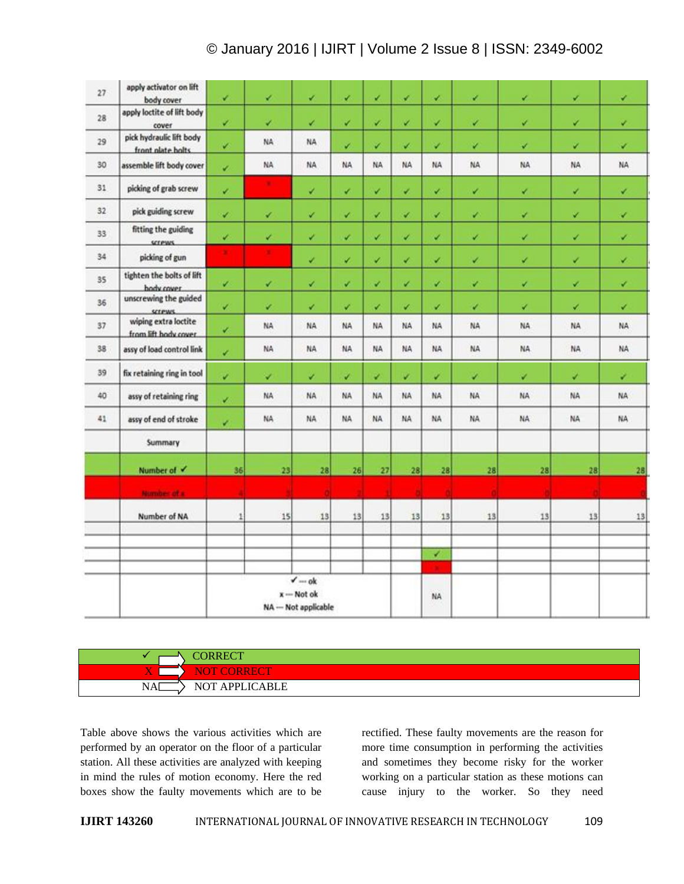| 27 | apply activator on lift<br>body cover                       | v            | v  | v         | v              | v         | v         | v         | v.             | v         | v         | v              |
|----|-------------------------------------------------------------|--------------|----|-----------|----------------|-----------|-----------|-----------|----------------|-----------|-----------|----------------|
| 28 | apply loctite of lift body<br>cover                         | v            | v  | v         | v              | v         | v         | ✓         | v              | v         | v         | v              |
| 29 | pick hydraulic lift body<br>front olate bolts.              | v            | NA | <b>NA</b> | v.             | ↙         | v         | v         | v              | v         | v         | v              |
| 30 | assemble lift body cover                                    | v            | NA | NA        | NA.            | NA        | NA        | NA        | NA <sup></sup> | NA        | NA        | NA             |
| 31 | picking of grab screw                                       | v.           | ٠  | v         | v.             | v         | v         | v         | v              | v         | ¥.        | v              |
| 32 | pick guiding screw                                          | v.           | v  | v         | v              | v         | V         | v         | ×              | v         | v         | v              |
| 33 | fitting the guiding<br>screws.                              | v            | v  | v         | v.             | v         | v         | v         | v              | v         | v         | v              |
| 34 | picking of gun                                              | ٠            | ٠. | v         | v              | v         | v         | ×         | v              | v         | ✓         | v              |
| 35 | tighten the bolts of lift<br>hody cover                     | v            | v  | v         | v              | v         | v         | v         | v              | v         | v         | v              |
| 36 | unscrewing the guided<br>screws.                            | v.           | v  | v         | v              | v         | v         | v         | v              | v         | v.        | v              |
| 37 | wiping extra loctite<br>from lift hody cover                | ¥            | NA | <b>NA</b> | NA             | NA        | NA        | NA        | NA             | <b>NA</b> | <b>NA</b> | NA <sup></sup> |
| 38 | assy of load control link                                   | v            | NA | <b>NA</b> | NA <sup></sup> | NΑ        | NA        | <b>NA</b> | NA             | NA        | <b>NA</b> | <b>NA</b>      |
| 39 | fix retaining ring in tool                                  | v            | v  | v         | v.             | v         | v         | v         | v              | v         | v.        | v              |
| 40 | assy of retaining ring                                      | v.           | NA | NA.       | <b>NA</b>      | <b>NA</b> | <b>NA</b> | NA.       | <b>NA</b>      | <b>NA</b> | NA        | NA             |
| 41 | assy of end of stroke                                       | v            | NA | NA.       | NA             | <b>NA</b> | NA        | NA        | NA.            | NA.       | NA        | NA <sup></sup> |
|    | Summary                                                     |              |    |           |                |           |           |           |                |           |           |                |
|    | Number of V                                                 | 36           | 28 | 28        | 26             | 27        | 28        | 28        | 28             | 28        | 28        | 28             |
|    | Number of a                                                 |              |    |           |                |           |           |           |                |           |           |                |
|    | Number of NA                                                | $\mathbf{1}$ | 15 | 13        | 13             | 13        | 13        | 13        | 13             | 13        | 13        | $13\,$         |
|    |                                                             |              |    |           |                |           |           | v         |                |           |           |                |
|    | $\checkmark$ --- ok<br>$x -$ Not ok<br>NA -- Not applicable |              |    |           |                | ٠<br>NA.  |           |           |                |           |           |                |

## **CORRECT NOT CORRECT**  $N$ A $\implies$  NOT APPLICABLE

Table above shows the various activities which are performed by an operator on the floor of a particular station. All these activities are analyzed with keeping in mind the rules of motion economy. Here the red boxes show the faulty movements which are to be rectified. These faulty movements are the reason for more time consumption in performing the activities and sometimes they become risky for the worker working on a particular station as these motions can cause injury to the worker. So they need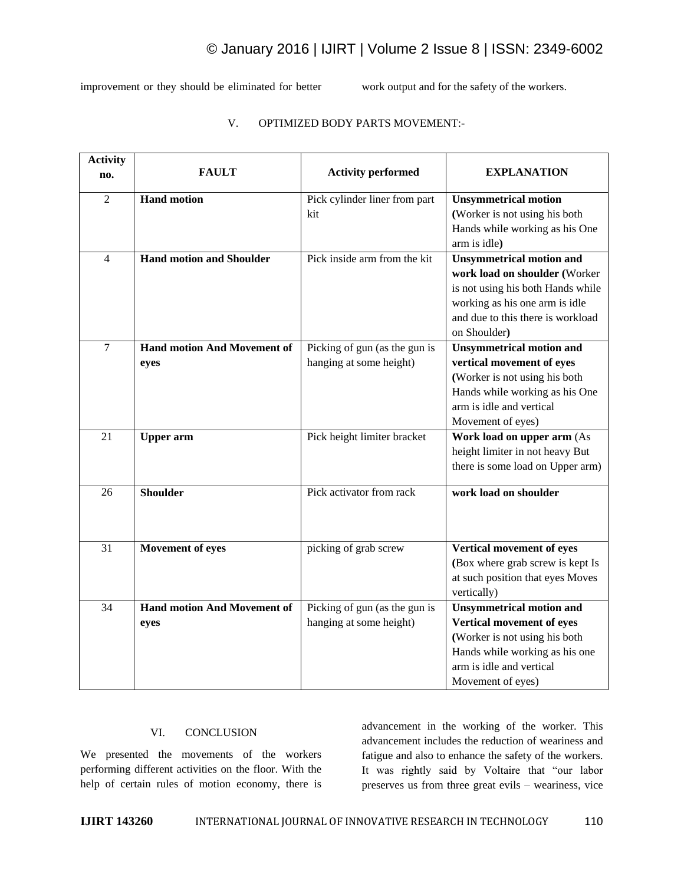improvement or they should be eliminated for better work output and for the safety of the workers.

| <b>Activity</b> |                                    |                               |                                   |
|-----------------|------------------------------------|-------------------------------|-----------------------------------|
| no.             | <b>FAULT</b>                       | <b>Activity performed</b>     | <b>EXPLANATION</b>                |
| $\overline{2}$  | <b>Hand motion</b>                 | Pick cylinder liner from part | <b>Unsymmetrical motion</b>       |
|                 |                                    | kit                           | (Worker is not using his both     |
|                 |                                    |                               | Hands while working as his One    |
|                 |                                    |                               | arm is idle)                      |
| $\overline{4}$  | <b>Hand motion and Shoulder</b>    | Pick inside arm from the kit  | <b>Unsymmetrical motion and</b>   |
|                 |                                    |                               | work load on shoulder (Worker     |
|                 |                                    |                               | is not using his both Hands while |
|                 |                                    |                               | working as his one arm is idle    |
|                 |                                    |                               | and due to this there is workload |
|                 |                                    |                               | on Shoulder)                      |
| $\tau$          | <b>Hand motion And Movement of</b> | Picking of gun (as the gun is | <b>Unsymmetrical motion and</b>   |
|                 | eyes                               | hanging at some height)       | vertical movement of eyes         |
|                 |                                    |                               | (Worker is not using his both     |
|                 |                                    |                               | Hands while working as his One    |
|                 |                                    |                               | arm is idle and vertical          |
|                 |                                    |                               | Movement of eyes)                 |
| 21              | <b>Upper</b> arm                   | Pick height limiter bracket   | Work load on upper arm (As        |
|                 |                                    |                               | height limiter in not heavy But   |
|                 |                                    |                               | there is some load on Upper arm)  |
| 26              | <b>Shoulder</b>                    | Pick activator from rack      | work load on shoulder             |
|                 |                                    |                               |                                   |
|                 |                                    |                               |                                   |
| 31              | Movement of eyes                   | picking of grab screw         | Vertical movement of eyes         |
|                 |                                    |                               | (Box where grab screw is kept Is  |
|                 |                                    |                               | at such position that eyes Moves  |
|                 |                                    |                               | vertically)                       |
| 34              | <b>Hand motion And Movement of</b> | Picking of gun (as the gun is | <b>Unsymmetrical motion and</b>   |
|                 | eyes                               | hanging at some height)       | Vertical movement of eyes         |
|                 |                                    |                               | (Worker is not using his both     |
|                 |                                    |                               | Hands while working as his one    |
|                 |                                    |                               | arm is idle and vertical          |
|                 |                                    |                               | Movement of eyes)                 |

## V. OPTIMIZED BODY PARTS MOVEMENT:-

### VI. CONCLUSION

We presented the movements of the workers performing different activities on the floor. With the help of certain rules of motion economy, there is

advancement in the working of the worker. This advancement includes the reduction of weariness and fatigue and also to enhance the safety of the workers. It was rightly said by Voltaire that "our labor preserves us from three great evils – weariness, vice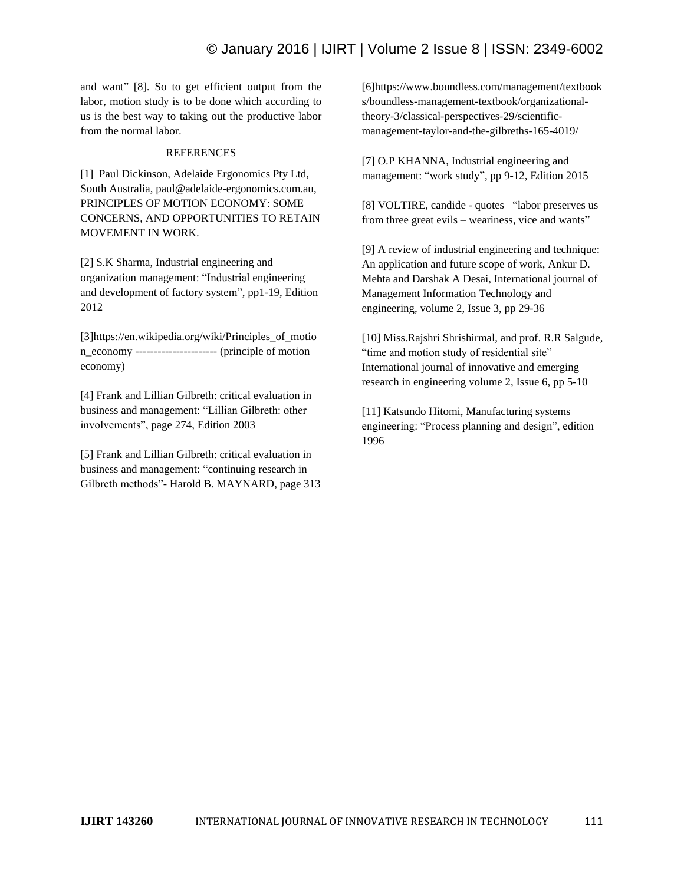and want" [8]. So to get efficient output from the labor, motion study is to be done which according to us is the best way to taking out the productive labor from the normal labor.

### REFERENCES

[1] Paul Dickinson, Adelaide Ergonomics Pty Ltd, South Australia, paul@adelaide-ergonomics.com.au, PRINCIPLES OF MOTION ECONOMY: SOME CONCERNS, AND OPPORTUNITIES TO RETAIN MOVEMENT IN WORK.

[2] S.K Sharma, Industrial engineering and organization management: "Industrial engineering and development of factory system", pp1-19, Edition 2012

[3]https://en.wikipedia.org/wiki/Principles\_of\_motio n\_economy ---------------------- (principle of motion economy)

[4] Frank and Lillian Gilbreth: critical evaluation in business and management: "Lillian Gilbreth: other involvements", page 274, Edition 2003

[5] Frank and Lillian Gilbreth: critical evaluation in business and management: "continuing research in Gilbreth methods"- Harold B. MAYNARD, page 313 [6]https://www.boundless.com/management/textbook s/boundless-management-textbook/organizationaltheory-3/classical-perspectives-29/scientificmanagement-taylor-and-the-gilbreths-165-4019/

[7] O.P KHANNA, Industrial engineering and management: "work study", pp 9-12, Edition 2015

[8] VOLTIRE, candide - quotes –"labor preserves us from three great evils – weariness, vice and wants"

[9] A review of industrial engineering and technique: An application and future scope of work, Ankur D. Mehta and Darshak A Desai, International journal of Management Information Technology and engineering, volume 2, Issue 3, pp 29-36

[10] Miss.Rajshri Shrishirmal, and prof. R.R Salgude, "time and motion study of residential site" International journal of innovative and emerging research in engineering volume 2, Issue 6, pp 5-10

[11] Katsundo Hitomi, Manufacturing systems engineering: "Process planning and design", edition 1996